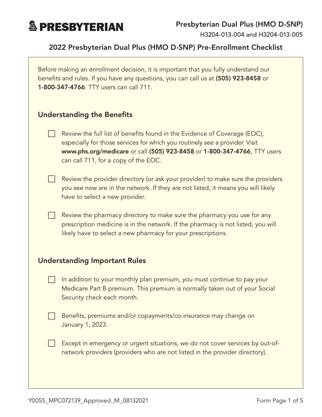

H3204-013-004 and H3204-013-005

### 2022 Presbyterian Dual Plus (HMO D-SNP) Pre-Enrollment Checklist

Before making an enrollment decision, it is important that you fully understand our benefits and rules. If you have any questions, you can call us at (505) 923-8458 or 1-800-347-4766. TTY users can call 711.

#### Understanding the Benefits

- Review the full list of benefits found in the Evidence of Coverage (EOC), especially for those services for which you routinely see a provider. Visit [www.phs.org/medicare](http://www.phs.org/medicare) or call (505) 923-8458 or 1-800-347-4766, TTY users can call 711, for a copy of the EOC.
- $\Box$  Review the provider directory (or ask your provider) to make sure the providers you see now are in the network. If they are not listed, it means you will likely have to select a new provider.
	- Review the pharmacy directory to make sure the pharmacy you use for any prescription medicine is in the network. If the pharmacy is not listed, you will likely have to select a new pharmacy for your prescriptions.

#### Understanding Important Rules

- In addition to your monthly plan premium, you must continue to pay your Medicare Part B premium. This premium is normally taken out of your Social Security check each month.
- Benefits, premiums and/or copayments/co-insurance may change on January 1, 2023.
	- Except in emergency or urgent situations, we do not cover services by out-ofnetwork providers (providers who are not listed in the provider directory).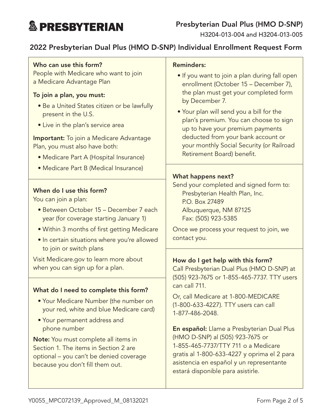# **& PRESBYTERIAN**

H3204-013-004 and H3204-013-005

## 2022 Presbyterian Dual Plus (HMO D-SNP) Individual Enrollment Request Form

#### Who can use this form?

People with Medicare who want to join a Medicare Advantage Plan

#### To join a plan, you must:

- Be a United States citizen or be lawfully present in the U.S.
- Live in the plan's service area

**Important:** To join a Medicare Advantage Plan, you must also have both:

- Medicare Part A (Hospital Insurance)
- Medicare Part B (Medical Insurance)

#### When do I use this form?

You can join a plan:

- Between October 15 December 7 each year (for coverage starting January 1)
- Within 3 months of first getting Medicare
- In certain situations where you're allowed to join or switch plans

Visit [Medicare.gov](http://Medicare.gov) to learn more about when you can sign up for a plan.

#### What do I need to complete this form?

- Your Medicare Number (the number on your red, white and blue Medicare card)
- Your permanent address and phone number

Note: You must complete all items in Section 1. The items in Section 2 are optional – you can't be denied coverage because you don't fill them out.

#### Reminders:

- If you want to join a plan during fall open enrollment (October 15 – December 7), the plan must get your completed form by December 7.
- Your plan will send you a bill for the plan's premium. You can choose to sign up to have your premium payments deducted from your bank account or your monthly Social Security (or Railroad Retirement Board) benefit.

#### What happens next?

Send your completed and signed form to: Presbyterian Health Plan, Inc. P.O. Box 27489 Albuquerque, NM 87125 Fax: (505) 923-5385

Once we process your request to join, we contact you.

#### How do I get help with this form?

Call Presbyterian Dual Plus (HMO D-SNP) at (505) 923-7675 or 1-855-465-7737. TTY users can call 711.

Or, call Medicare at 1-800-MEDICARE (1-800-633-4227). TTY users can call 1-877-486-2048.

En español: Llame a Presbyterian Dual Plus (HMO D-SNP) al (505) 923-7675 or 1-855-465-7737/TTY 711 o a Medicare gratis al 1-800-633-4227 y oprima el 2 para asistencia en español y un representante estará disponible para asistirle.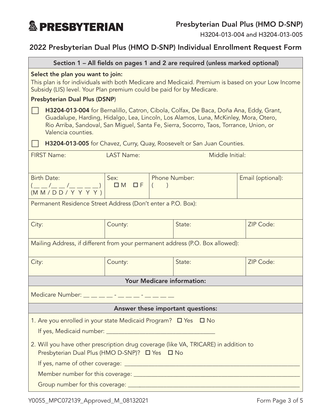

H3204-013-004 and H3204-013-005

## 2022 Presbyterian Dual Plus (HMO D-SNP) Individual Enrollment Request Form

| Section 1 - All fields on pages 1 and 2 are required (unless marked optional)                                                                                                                                                                                                                |                   |                           |        |                   |  |  |
|----------------------------------------------------------------------------------------------------------------------------------------------------------------------------------------------------------------------------------------------------------------------------------------------|-------------------|---------------------------|--------|-------------------|--|--|
| Select the plan you want to join:<br>This plan is for individuals with both Medicare and Medicaid. Premium is based on your Low Income<br>Subsidy (LIS) level. Your Plan premium could be paid for by Medicare.                                                                              |                   |                           |        |                   |  |  |
| <b>Presbyterian Dual Plus (DSNP)</b>                                                                                                                                                                                                                                                         |                   |                           |        |                   |  |  |
| H3204-013-004 for Bernalillo, Catron, Cibola, Colfax, De Baca, Doña Ana, Eddy, Grant,<br>Guadalupe, Harding, Hidalgo, Lea, Lincoln, Los Alamos, Luna, McKinley, Mora, Otero,<br>Rio Arriba, Sandoval, San Miguel, Santa Fe, Sierra, Socorro, Taos, Torrance, Union, or<br>Valencia counties. |                   |                           |        |                   |  |  |
| H3204-013-005 for Chavez, Curry, Quay, Roosevelt or San Juan Counties.                                                                                                                                                                                                                       |                   |                           |        |                   |  |  |
| <b>FIRST Name:</b><br><b>LAST Name:</b><br>Middle Initial:                                                                                                                                                                                                                                   |                   |                           |        |                   |  |  |
| <b>Birth Date:</b><br>(__ _/_ _ /_ _ _ _)  <br>(M M / D D / Y Y Y Y)                                                                                                                                                                                                                         | Sex:<br>$DM$ $DF$ | <b>Phone Number:</b><br>( |        | Email (optional): |  |  |
| Permanent Residence Street Address (Don't enter a P.O. Box):                                                                                                                                                                                                                                 |                   |                           |        |                   |  |  |
| City:                                                                                                                                                                                                                                                                                        | County:           |                           | State: | ZIP Code:         |  |  |
| Mailing Address, if different from your permanent address (P.O. Box allowed):                                                                                                                                                                                                                |                   |                           |        |                   |  |  |
| City:                                                                                                                                                                                                                                                                                        | County:           |                           | State: | ZIP Code:         |  |  |
| <b>Your Medicare information:</b>                                                                                                                                                                                                                                                            |                   |                           |        |                   |  |  |
| Medicare Number: _ _ _ _ _ _ - _ _ _ _ _ - _ _ _                                                                                                                                                                                                                                             |                   |                           |        |                   |  |  |
| Answer these important questions:                                                                                                                                                                                                                                                            |                   |                           |        |                   |  |  |
| 1. Are you enrolled in your state Medicaid Program? $\Box$ Yes $\Box$ No                                                                                                                                                                                                                     |                   |                           |        |                   |  |  |
| 2. Will you have other prescription drug coverage (like VA, TRICARE) in addition to<br>Presbyterian Dual Plus (HMO D-SNP)? □ Yes □ No                                                                                                                                                        |                   |                           |        |                   |  |  |
|                                                                                                                                                                                                                                                                                              |                   |                           |        |                   |  |  |
|                                                                                                                                                                                                                                                                                              |                   |                           |        |                   |  |  |
|                                                                                                                                                                                                                                                                                              |                   |                           |        |                   |  |  |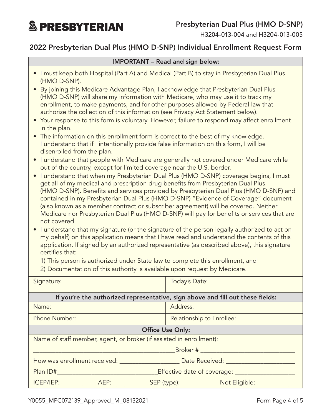**& PRESBYTERIAN** 

H3204-013-004 and H3204-013-005

## 2022 Presbyterian Dual Plus (HMO D-SNP) Individual Enrollment Request Form

#### IMPORTANT – Read and sign below:

- I must keep both Hospital (Part A) and Medical (Part B) to stay in Presbyterian Dual Plus (HMO D-SNP).
- By joining this Medicare Advantage Plan, I acknowledge that Presbyterian Dual Plus (HMO D-SNP) will share my information with Medicare, who may use it to track my enrollment, to make payments, and for other purposes allowed by Federal law that authorize the collection of this information (see Privacy Act Statement below).
- Your response to this form is voluntary. However, failure to respond may affect enrollment in the plan.
- The information on this enrollment form is correct to the best of my knowledge. I understand that if I intentionally provide false information on this form, I will be disenrolled from the plan.
- I understand that people with Medicare are generally not covered under Medicare while out of the country, except for limited coverage near the U.S. border.
- I understand that when my Presbyterian Dual Plus (HMO D-SNP) coverage begins, I must get all of my medical and prescription drug benefits from Presbyterian Dual Plus (HMO D-SNP). Benefits and services provided by Presbyterian Dual Plus (HMO D-SNP) and contained in my Presbyterian Dual Plus (HMO D-SNP) "Evidence of Coverage" document (also known as a member contract or subscriber agreement) will be covered. Neither Medicare nor Presbyterian Dual Plus (HMO D-SNP) will pay for benefits or services that are not covered.
- I understand that my signature (or the signature of the person legally authorized to act on my behalf) on this application means that I have read and understand the contents of this application. If signed by an authorized representative (as described above), this signature certifies that:
	- 1) This person is authorized under State law to complete this enrollment, and
	- 2) Documentation of this authority is available upon request by Medicare.

| Signature:                                                                                                                                            | <b>Today's Date:</b>      |  |  |  |
|-------------------------------------------------------------------------------------------------------------------------------------------------------|---------------------------|--|--|--|
|                                                                                                                                                       |                           |  |  |  |
| If you're the authorized representative, sign above and fill out these fields:                                                                        |                           |  |  |  |
| Name:                                                                                                                                                 | Address:                  |  |  |  |
| <b>Phone Number:</b>                                                                                                                                  | Relationship to Enrollee: |  |  |  |
| <b>Office Use Only:</b>                                                                                                                               |                           |  |  |  |
| Name of staff member, agent, or broker (if assisted in enrollment):                                                                                   |                           |  |  |  |
| Broker # 2008 - 2008 - 2014 - 2015 - 2016 - 2017 - 2018 - 2019 - 2017 - 2018 - 2019 - 2016 - 2017 - 2018 - 20                                         |                           |  |  |  |
|                                                                                                                                                       |                           |  |  |  |
| Effective date of coverage: ________<br>Plan ID# 2000 Contract to the Contract of the Contract of the Contract of the Contract of the Contract of the |                           |  |  |  |
| ICEP/IEP: _____________ AEP: _____________ SEP (type): ______________ Not Eligible: ________                                                          |                           |  |  |  |